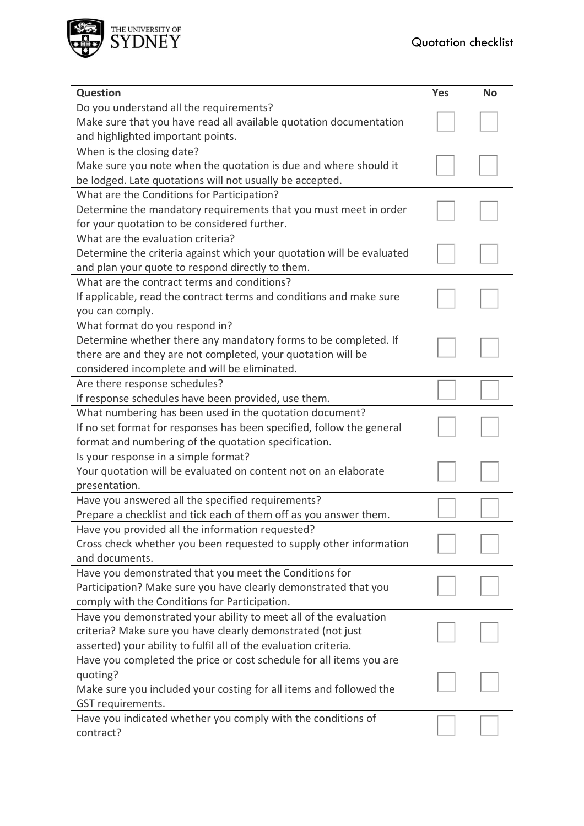

| Question                                                              | <b>Yes</b> | <b>No</b> |
|-----------------------------------------------------------------------|------------|-----------|
| Do you understand all the requirements?                               |            |           |
| Make sure that you have read all available quotation documentation    |            |           |
| and highlighted important points.                                     |            |           |
| When is the closing date?                                             |            |           |
| Make sure you note when the quotation is due and where should it      |            |           |
| be lodged. Late quotations will not usually be accepted.              |            |           |
| What are the Conditions for Participation?                            |            |           |
| Determine the mandatory requirements that you must meet in order      |            |           |
| for your quotation to be considered further.                          |            |           |
| What are the evaluation criteria?                                     |            |           |
| Determine the criteria against which your quotation will be evaluated |            |           |
| and plan your quote to respond directly to them.                      |            |           |
| What are the contract terms and conditions?                           |            |           |
| If applicable, read the contract terms and conditions and make sure   |            |           |
| you can comply.                                                       |            |           |
| What format do you respond in?                                        |            |           |
| Determine whether there any mandatory forms to be completed. If       |            |           |
| there are and they are not completed, your quotation will be          |            |           |
| considered incomplete and will be eliminated.                         |            |           |
| Are there response schedules?                                         |            |           |
| If response schedules have been provided, use them.                   |            |           |
| What numbering has been used in the quotation document?               |            |           |
| If no set format for responses has been specified, follow the general |            |           |
| format and numbering of the quotation specification.                  |            |           |
| Is your response in a simple format?                                  |            |           |
| Your quotation will be evaluated on content not on an elaborate       |            |           |
| presentation.                                                         |            |           |
| Have you answered all the specified requirements?                     |            |           |
| Prepare a checklist and tick each of them off as you answer them.     |            |           |
| Have you provided all the information requested?                      |            |           |
| Cross check whether you been requested to supply other information    |            |           |
| and documents.                                                        |            |           |
| Have you demonstrated that you meet the Conditions for                |            |           |
| Participation? Make sure you have clearly demonstrated that you       |            |           |
| comply with the Conditions for Participation.                         |            |           |
| Have you demonstrated your ability to meet all of the evaluation      |            |           |
| criteria? Make sure you have clearly demonstrated (not just           |            |           |
| asserted) your ability to fulfil all of the evaluation criteria.      |            |           |
| Have you completed the price or cost schedule for all items you are   |            |           |
| quoting?                                                              |            |           |
| Make sure you included your costing for all items and followed the    |            |           |
| GST requirements.                                                     |            |           |
| Have you indicated whether you comply with the conditions of          |            |           |
| contract?                                                             |            |           |